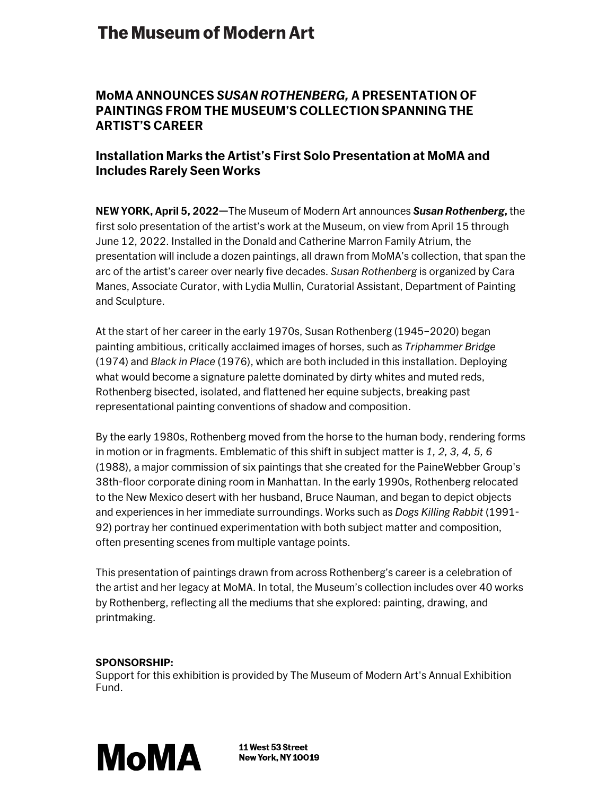# **The Museum of Modern Art**

### **MoMA ANNOUNCES** *SUSAN ROTHENBERG,* **A PRESENTATION OF PAINTINGS FROM THE MUSEUM'S COLLECTION SPANNING THE ARTIST'S CAREER**

## **Installation Marks the Artist's First Solo Presentation at MoMA and Includes Rarely Seen Works**

**NEW YORK, April 5, 2022—**The Museum of Modern Art announces *Susan Rothenberg***,** the first solo presentation of the artist's work at the Museum, on view from April 15 through June 12, 2022. Installed in the Donald and Catherine Marron Family Atrium, the presentation will include a dozen paintings, all drawn from MoMA's collection, that span the arc of the artist's career over nearly five decades. *Susan Rothenberg* is organized by Cara Manes, Associate Curator, with Lydia Mullin, Curatorial Assistant, Department of Painting and Sculpture.

At the start of her career in the early 1970s, Susan Rothenberg (1945–2020) began painting ambitious, critically acclaimed images of horses, such as *Triphammer Bridge* (1974) and *Black in Place* (1976), which are both included in this installation. Deploying what would become a signature palette dominated by dirty whites and muted reds, Rothenberg bisected, isolated, and flattened her equine subjects, breaking past representational painting conventions of shadow and composition.

By the early 1980s, Rothenberg moved from the horse to the human body, rendering forms in motion or in fragments. Emblematic of this shift in subject matter is *1, 2, 3, 4, 5, 6* (1988), a major commission of six paintings that she created for the PaineWebber Group's 38th-floor corporate dining room in Manhattan. In the early 1990s, Rothenberg relocated to the New Mexico desert with her husband, Bruce Nauman, and began to depict objects and experiences in her immediate surroundings. Works such as *Dogs Killing Rabbit* (1991- 92) portray her continued experimentation with both subject matter and composition, often presenting scenes from multiple vantage points.

This presentation of paintings drawn from across Rothenberg's career is a celebration of the artist and her legacy at MoMA. In total, the Museum's collection includes over 40 works by Rothenberg, reflecting all the mediums that she explored: painting, drawing, and printmaking.

#### **SPONSORSHIP:**

Support for this exhibition is provided by The Museum of Modern Art's Annual Exhibition Fund.



11 West 53 Street New York, NY 10019